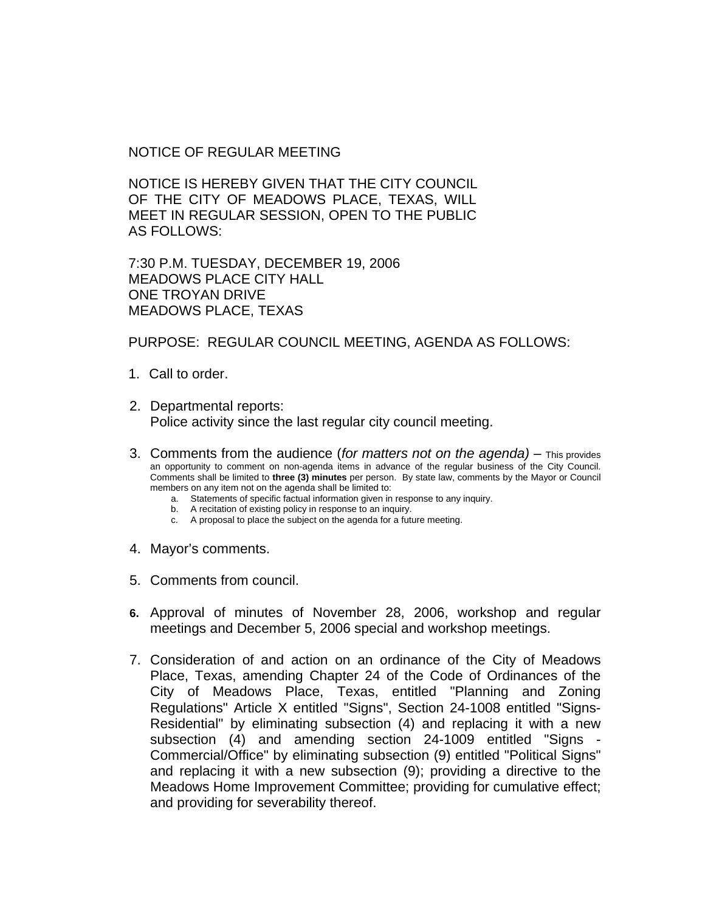NOTICE OF REGULAR MEETING

NOTICE IS HEREBY GIVEN THAT THE CITY COUNCIL OF THE CITY OF MEADOWS PLACE, TEXAS, WILL MEET IN REGULAR SESSION, OPEN TO THE PUBLIC AS FOLLOWS:

7:30 P.M. TUESDAY, DECEMBER 19, 2006 MEADOWS PLACE CITY HALL ONE TROYAN DRIVE MEADOWS PLACE, TEXAS

PURPOSE: REGULAR COUNCIL MEETING, AGENDA AS FOLLOWS:

- 1. Call to order.
- 2. Departmental reports: Police activity since the last regular city council meeting.
- 3. Comments from the audience (*for matters not on the agenda)* This provides an opportunity to comment on non-agenda items in advance of the regular business of the City Council. Comments shall be limited to **three (3) minutes** per person. By state law, comments by the Mayor or Council members on any item not on the agenda shall be limited to:
	- a. Statements of specific factual information given in response to any inquiry.
	- b. A recitation of existing policy in response to an inquiry.
	- c. A proposal to place the subject on the agenda for a future meeting.
- 4. Mayor's comments.
- 5. Comments from council.
- **6.** Approval of minutes of November 28, 2006, workshop and regular meetings and December 5, 2006 special and workshop meetings.
- 7. Consideration of and action on an ordinance of the City of Meadows Place, Texas, amending Chapter 24 of the Code of Ordinances of the City of Meadows Place, Texas, entitled "Planning and Zoning Regulations" Article X entitled "Signs", Section 24-1008 entitled "Signs-Residential" by eliminating subsection (4) and replacing it with a new subsection (4) and amending section 24-1009 entitled "Signs - Commercial/Office" by eliminating subsection (9) entitled "Political Signs" and replacing it with a new subsection (9); providing a directive to the Meadows Home Improvement Committee; providing for cumulative effect; and providing for severability thereof.